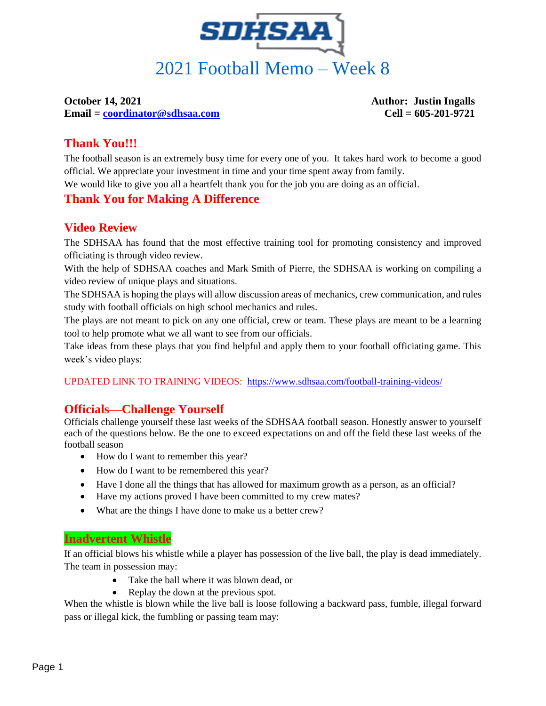

**Email = [coordinator@sdhsaa.com](mailto:coordinator@sdhsaa.com) Cell = 605-201-9721**

**October 14, 2021 Author: Justin Ingalls** 

# **Thank You!!!**

The football season is an extremely busy time for every one of you. It takes hard work to become a good official. We appreciate your investment in time and your time spent away from family.

We would like to give you all a heartfelt thank you for the job you are doing as an official.

## **Thank You for Making A Difference**

## **Video Review**

The SDHSAA has found that the most effective training tool for promoting consistency and improved officiating is through video review.

With the help of SDHSAA coaches and Mark Smith of Pierre, the SDHSAA is working on compiling a video review of unique plays and situations.

The SDHSAA is hoping the plays will allow discussion areas of mechanics, crew communication, and rules study with football officials on high school mechanics and rules.

The plays are not meant to pick on any one official, crew or team. These plays are meant to be a learning tool to help promote what we all want to see from our officials.

Take ideas from these plays that you find helpful and apply them to your football officiating game. This week's video plays:

UPDATED LINK TO TRAINING VIDEOS: <https://www.sdhsaa.com/football-training-videos/>

## **Officials—Challenge Yourself**

Officials challenge yourself these last weeks of the SDHSAA football season. Honestly answer to yourself each of the questions below. Be the one to exceed expectations on and off the field these last weeks of the football season

- How do I want to remember this year?
- How do I want to be remembered this year?
- Have I done all the things that has allowed for maximum growth as a person, as an official?
- Have my actions proved I have been committed to my crew mates?
- What are the things I have done to make us a better crew?

## **Inadvertent Whistle**

If an official blows his whistle while a player has possession of the live ball, the play is dead immediately. The team in possession may:

- Take the ball where it was blown dead, or
- Replay the down at the previous spot.

When the whistle is blown while the live ball is loose following a backward pass, fumble, illegal forward pass or illegal kick, the fumbling or passing team may: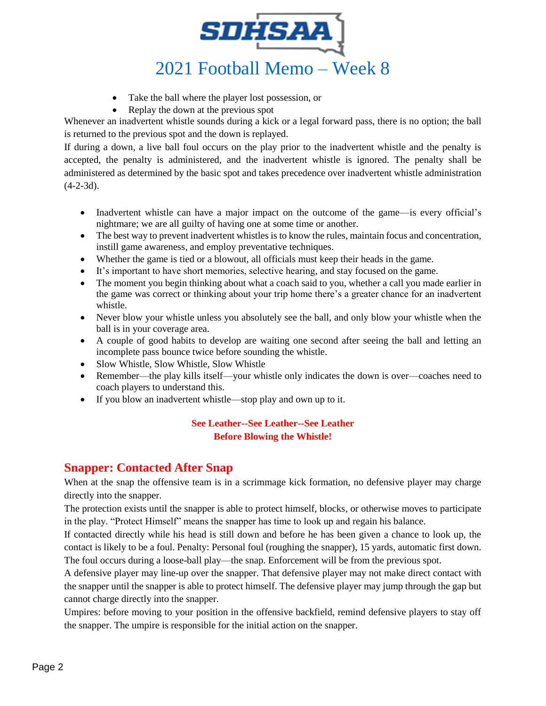

- Take the ball where the player lost possession, or
- Replay the down at the previous spot

Whenever an inadvertent whistle sounds during a kick or a legal forward pass, there is no option; the ball is returned to the previous spot and the down is replayed.

If during a down, a live ball foul occurs on the play prior to the inadvertent whistle and the penalty is accepted, the penalty is administered, and the inadvertent whistle is ignored. The penalty shall be administered as determined by the basic spot and takes precedence over inadvertent whistle administration  $(4-2-3d)$ .

- Inadvertent whistle can have a major impact on the outcome of the game—is every official's nightmare; we are all guilty of having one at some time or another.
- The best way to prevent inadvertent whistles is to know the rules, maintain focus and concentration, instill game awareness, and employ preventative techniques.
- Whether the game is tied or a blowout, all officials must keep their heads in the game.
- It's important to have short memories, selective hearing, and stay focused on the game.
- The moment you begin thinking about what a coach said to you, whether a call you made earlier in the game was correct or thinking about your trip home there's a greater chance for an inadvertent whistle.
- Never blow your whistle unless you absolutely see the ball, and only blow your whistle when the ball is in your coverage area.
- A couple of good habits to develop are waiting one second after seeing the ball and letting an incomplete pass bounce twice before sounding the whistle.
- Slow Whistle, Slow Whistle, Slow Whistle
- Remember—the play kills itself—your whistle only indicates the down is over—coaches need to coach players to understand this.
- If you blow an inadvertent whistle—stop play and own up to it.

### **See Leather--See Leather--See Leather Before Blowing the Whistle!**

### **Snapper: Contacted After Snap**

When at the snap the offensive team is in a scrimmage kick formation, no defensive player may charge directly into the snapper.

The protection exists until the snapper is able to protect himself, blocks, or otherwise moves to participate in the play. "Protect Himself" means the snapper has time to look up and regain his balance.

If contacted directly while his head is still down and before he has been given a chance to look up, the contact is likely to be a foul. Penalty: Personal foul (roughing the snapper), 15 yards, automatic first down. The foul occurs during a loose-ball play—the snap. Enforcement will be from the previous spot.

A defensive player may line-up over the snapper. That defensive player may not make direct contact with the snapper until the snapper is able to protect himself. The defensive player may jump through the gap but cannot charge directly into the snapper.

Umpires: before moving to your position in the offensive backfield, remind defensive players to stay off the snapper. The umpire is responsible for the initial action on the snapper.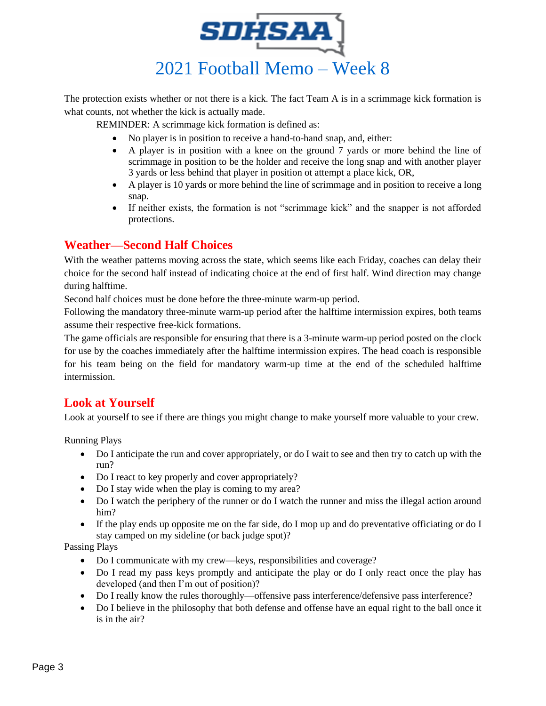

The protection exists whether or not there is a kick. The fact Team A is in a scrimmage kick formation is what counts, not whether the kick is actually made.

REMINDER: A scrimmage kick formation is defined as:

- No player is in position to receive a hand-to-hand snap, and, either:
- A player is in position with a knee on the ground 7 yards or more behind the line of scrimmage in position to be the holder and receive the long snap and with another player 3 yards or less behind that player in position ot attempt a place kick, OR,
- A player is 10 yards or more behind the line of scrimmage and in position to receive a long snap.
- If neither exists, the formation is not "scrimmage kick" and the snapper is not afforded protections.

## **Weather—Second Half Choices**

With the weather patterns moving across the state, which seems like each Friday, coaches can delay their choice for the second half instead of indicating choice at the end of first half. Wind direction may change during halftime.

Second half choices must be done before the three-minute warm-up period.

Following the mandatory three-minute warm-up period after the halftime intermission expires, both teams assume their respective free-kick formations.

The game officials are responsible for ensuring that there is a 3-minute warm-up period posted on the clock for use by the coaches immediately after the halftime intermission expires. The head coach is responsible for his team being on the field for mandatory warm-up time at the end of the scheduled halftime intermission.

## **Look at Yourself**

Look at yourself to see if there are things you might change to make yourself more valuable to your crew.

Running Plays

- Do I anticipate the run and cover appropriately, or do I wait to see and then try to catch up with the run?
- Do I react to key properly and cover appropriately?
- Do I stay wide when the play is coming to my area?
- Do I watch the periphery of the runner or do I watch the runner and miss the illegal action around him?
- If the play ends up opposite me on the far side, do I mop up and do preventative officiating or do I stay camped on my sideline (or back judge spot)?

Passing Plays

- Do I communicate with my crew—keys, responsibilities and coverage?
- Do I read my pass keys promptly and anticipate the play or do I only react once the play has developed (and then I'm out of position)?
- Do I really know the rules thoroughly—offensive pass interference/defensive pass interference?
- Do I believe in the philosophy that both defense and offense have an equal right to the ball once it is in the air?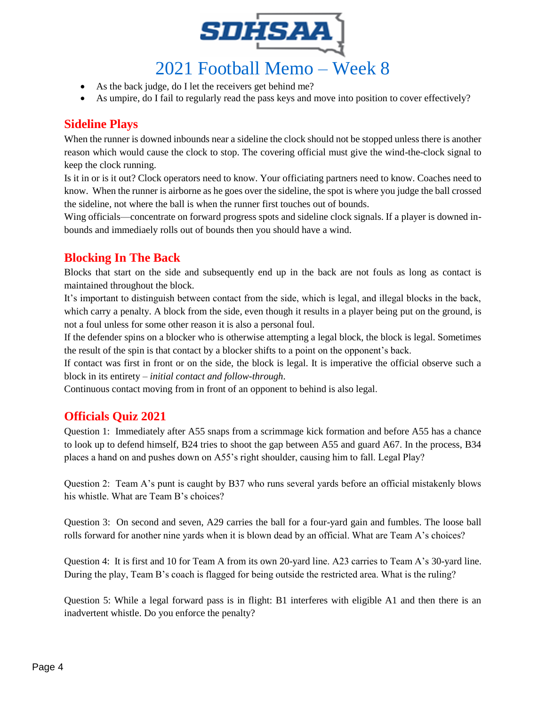

- As the back judge, do I let the receivers get behind me?
- As umpire, do I fail to regularly read the pass keys and move into position to cover effectively?

## **Sideline Plays**

When the runner is downed inbounds near a sideline the clock should not be stopped unless there is another reason which would cause the clock to stop. The covering official must give the wind-the-clock signal to keep the clock running.

Is it in or is it out? Clock operators need to know. Your officiating partners need to know. Coaches need to know. When the runner is airborne as he goes over the sideline, the spot is where you judge the ball crossed the sideline, not where the ball is when the runner first touches out of bounds.

Wing officials—concentrate on forward progress spots and sideline clock signals. If a player is downed inbounds and immediaely rolls out of bounds then you should have a wind.

## **Blocking In The Back**

Blocks that start on the side and subsequently end up in the back are not fouls as long as contact is maintained throughout the block.

It's important to distinguish between contact from the side, which is legal, and illegal blocks in the back, which carry a penalty. A block from the side, even though it results in a player being put on the ground, is not a foul unless for some other reason it is also a personal foul.

If the defender spins on a blocker who is otherwise attempting a legal block, the block is legal. Sometimes the result of the spin is that contact by a blocker shifts to a point on the opponent's back.

If contact was first in front or on the side, the block is legal. It is imperative the official observe such a block in its entirety – *initial contact and follow-through*.

Continuous contact moving from in front of an opponent to behind is also legal.

## **Officials Quiz 2021**

Question 1: Immediately after A55 snaps from a scrimmage kick formation and before A55 has a chance to look up to defend himself, B24 tries to shoot the gap between A55 and guard A67. In the process, B34 places a hand on and pushes down on A55's right shoulder, causing him to fall. Legal Play?

Question 2: Team A's punt is caught by B37 who runs several yards before an official mistakenly blows his whistle. What are Team B's choices?

Question 3: On second and seven, A29 carries the ball for a four-yard gain and fumbles. The loose ball rolls forward for another nine yards when it is blown dead by an official. What are Team A's choices?

Question 4: It is first and 10 for Team A from its own 20-yard line. A23 carries to Team A's 30-yard line. During the play, Team B's coach is flagged for being outside the restricted area. What is the ruling?

Question 5: While a legal forward pass is in flight: B1 interferes with eligible A1 and then there is an inadvertent whistle. Do you enforce the penalty?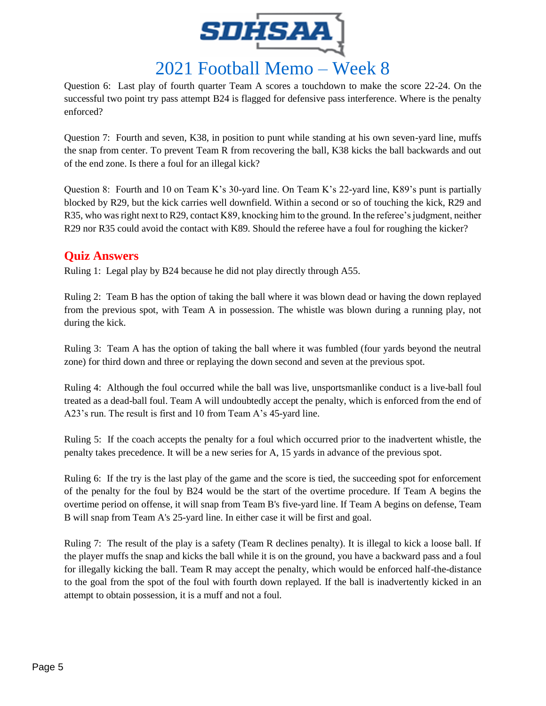

Question 6: Last play of fourth quarter Team A scores a touchdown to make the score 22-24. On the successful two point try pass attempt B24 is flagged for defensive pass interference. Where is the penalty enforced?

Question 7: Fourth and seven, K38, in position to punt while standing at his own seven-yard line, muffs the snap from center. To prevent Team R from recovering the ball, K38 kicks the ball backwards and out of the end zone. Is there a foul for an illegal kick?

Question 8: Fourth and 10 on Team K's 30-yard line. On Team K's 22-yard line, K89's punt is partially blocked by R29, but the kick carries well downfield. Within a second or so of touching the kick, R29 and R35, who was right next to R29, contact K89, knocking him to the ground. In the referee's judgment, neither R29 nor R35 could avoid the contact with K89. Should the referee have a foul for roughing the kicker?

## **Quiz Answers**

Ruling 1: Legal play by B24 because he did not play directly through A55.

Ruling 2: Team B has the option of taking the ball where it was blown dead or having the down replayed from the previous spot, with Team A in possession. The whistle was blown during a running play, not during the kick.

Ruling 3: Team A has the option of taking the ball where it was fumbled (four yards beyond the neutral zone) for third down and three or replaying the down second and seven at the previous spot.

Ruling 4: Although the foul occurred while the ball was live, unsportsmanlike conduct is a live-ball foul treated as a dead-ball foul. Team A will undoubtedly accept the penalty, which is enforced from the end of A23's run. The result is first and 10 from Team A's 45-yard line.

Ruling 5: If the coach accepts the penalty for a foul which occurred prior to the inadvertent whistle, the penalty takes precedence. It will be a new series for A, 15 yards in advance of the previous spot.

Ruling 6: If the try is the last play of the game and the score is tied, the succeeding spot for enforcement of the penalty for the foul by B24 would be the start of the overtime procedure. If Team A begins the overtime period on offense, it will snap from Team B's five-yard line. If Team A begins on defense, Team B will snap from Team A's 25-yard line. In either case it will be first and goal.

Ruling 7: The result of the play is a safety (Team R declines penalty). It is illegal to kick a loose ball. If the player muffs the snap and kicks the ball while it is on the ground, you have a backward pass and a foul for illegally kicking the ball. Team R may accept the penalty, which would be enforced half-the-distance to the goal from the spot of the foul with fourth down replayed. If the ball is inadvertently kicked in an attempt to obtain possession, it is a muff and not a foul.